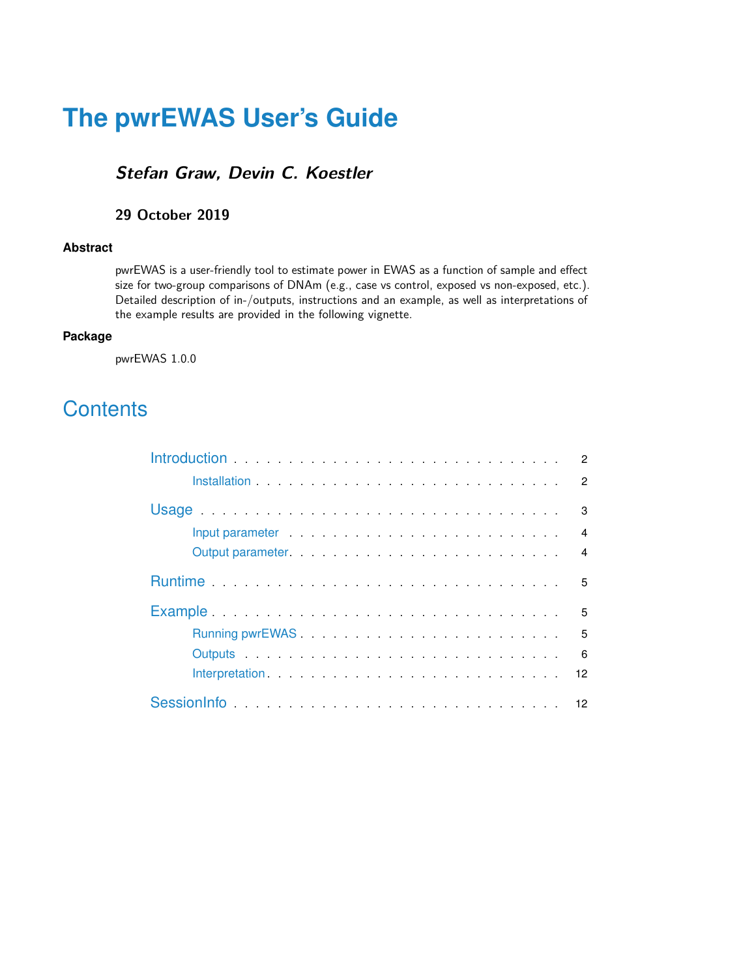# <span id="page-0-0"></span>**The pwrEWAS User's Guide**

### **Stefan Graw, Devin C. Koestler**

### **29 October 2019**

#### **Abstract**

pwrEWAS is a user-friendly tool to estimate power in EWAS as a function of sample and effect size for two-group comparisons of DNAm (e.g., case vs control, exposed vs non-exposed, etc.). Detailed description of in-/outputs, instructions and an example, as well as interpretations of the example results are provided in the following vignette.

#### **Package**

pwrEWAS 1.0.0

## **Contents**

| $\overline{2}$    |                |
|-------------------|----------------|
|                   | 3              |
|                   | $\overline{4}$ |
| Output parameter. | $\overline{4}$ |
|                   |                |
|                   |                |
|                   |                |
| 6                 |                |
| $12 \overline{ }$ |                |
|                   |                |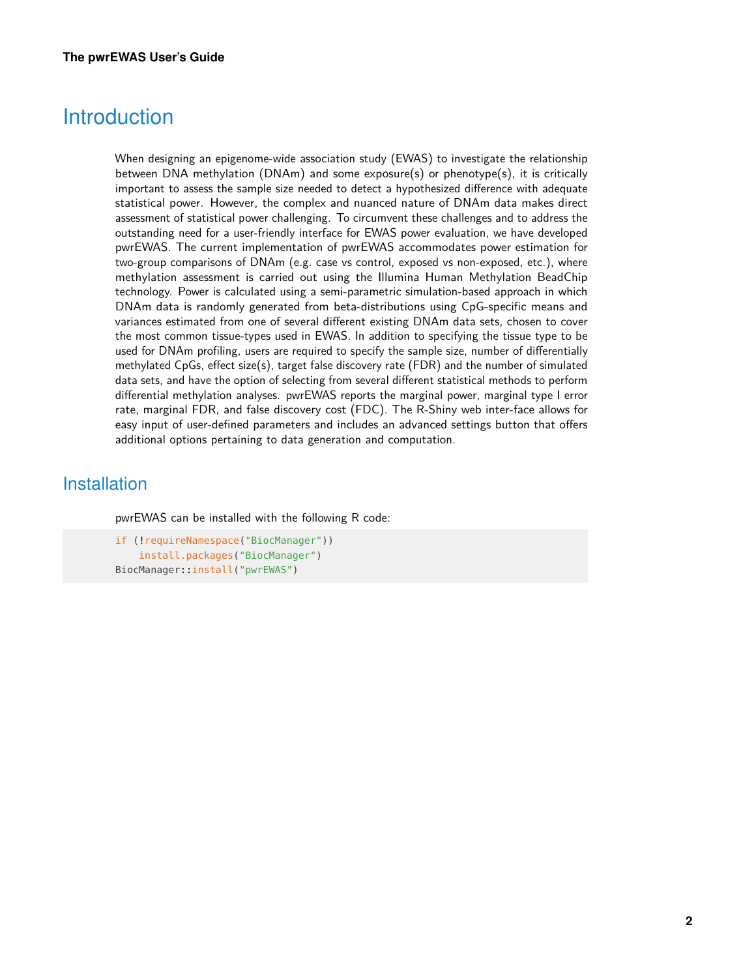## **Introduction**

When designing an epigenome-wide association study (EWAS) to investigate the relationship between DNA methylation (DNAm) and some exposure(s) or phenotype(s), it is critically important to assess the sample size needed to detect a hypothesized difference with adequate statistical power. However, the complex and nuanced nature of DNAm data makes direct assessment of statistical power challenging. To circumvent these challenges and to address the outstanding need for a user-friendly interface for EWAS power evaluation, we have developed pwrEWAS. The current implementation of pwrEWAS accommodates power estimation for two-group comparisons of DNAm (e.g. case vs control, exposed vs non-exposed, etc.), where methylation assessment is carried out using the Illumina Human Methylation BeadChip technology. Power is calculated using a semi-parametric simulation-based approach in which DNAm data is randomly generated from beta-distributions using CpG-specific means and variances estimated from one of several different existing DNAm data sets, chosen to cover the most common tissue-types used in EWAS. In addition to specifying the tissue type to be used for DNAm profiling, users are required to specify the sample size, number of differentially methylated CpGs, effect size(s), target false discovery rate (FDR) and the number of simulated data sets, and have the option of selecting from several different statistical methods to perform differential methylation analyses. pwrEWAS reports the marginal power, marginal type I error rate, marginal FDR, and false discovery cost (FDC). The R-Shiny web inter-face allows for easy input of user-defined parameters and includes an advanced settings button that offers additional options pertaining to data generation and computation.

## **Installation**

<span id="page-1-0"></span>pwrEWAS can be installed with the following R code:

```
if ( ! requireNamespace ( "BiocManager" ) )
    install.packages("BiocManager")
BiocManager::install("pwrEWAS")
```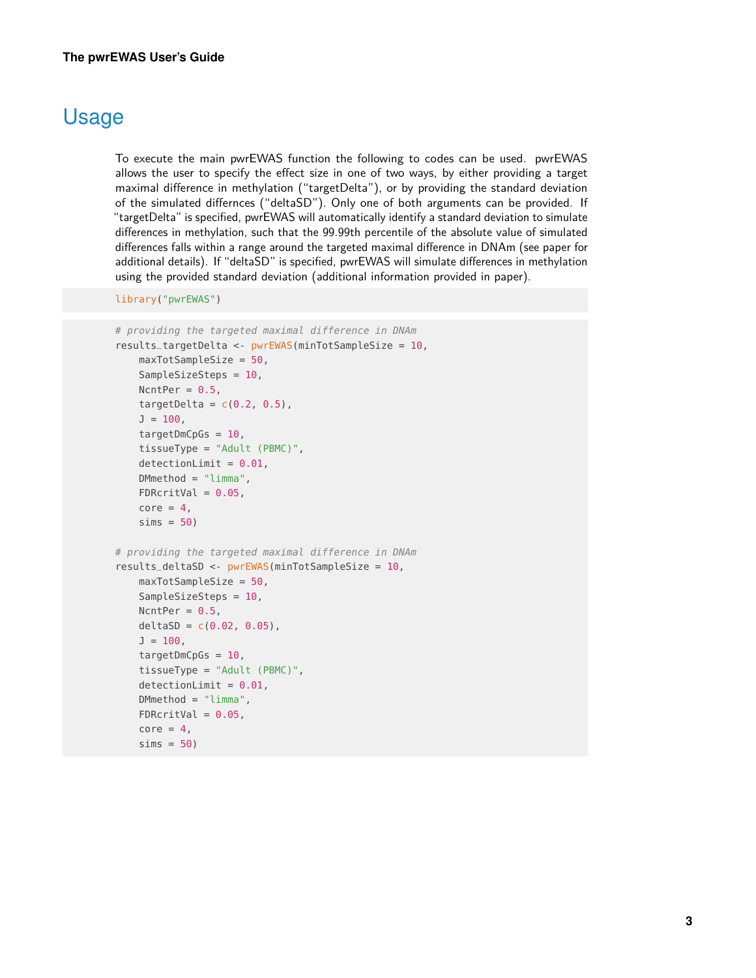## Usage

To execute the main pwrEWAS function the following to codes can be used. pwrEWAS allows the user to specify the effect size in one of two ways, by either providing a target maximal difference in methylation ("targetDelta"), or by providing the standard deviation of the simulated differnces ("deltaSD"). Only one of both arguments can be provided. If "targetDelta" is specified, pwrEWAS will automatically identify a standard deviation to simulate differences in methylation, such that the 99.99th percentile of the absolute value of simulated differences falls within a range around the targeted maximal difference in DNAm (see paper for additional details). If "deltaSD" is specified, pwrEWAS will simulate differences in methylation using the provided standard deviation (additional information provided in paper).

```
library("pwrEWAS")
```

```
# providing the targeted maximal difference in DNAm
results_targetDelta <- pwrEWAS(minTotSampleSize = 10,
   maxTotSampleSize = 50,
   SampleSizeSteps = 10,
   NcntPer = 0.5,
   targetDelta = c(0.2, 0.5),
   J = 100,targetDmCpGs = 10,
   tissueType = "Adult (PBMC)",
   detectionLimit = 0.01,DMmethod = "limma",
   FDRcritVal = 0.05,
   core = 4,
   sims = 50# providing the targeted maximal difference in DNAm
results_deltaSD <- pwrEWAS(minTotSampleSize = 10,
   maxTotSampleSize = 50,
   SampleSizeSteps = 10,
   NcntPer = 0.5,
   deltaSD = c(0.02, 0.05),
   J = 100,targetDmCpGs = 10,
   tissueType = "Adult (PBMC)",
   detectionLimit = 0.01,
   DMmethod = "limma",
   FDRcritVal = 0.05,
   core = 4,
   sims = 50
```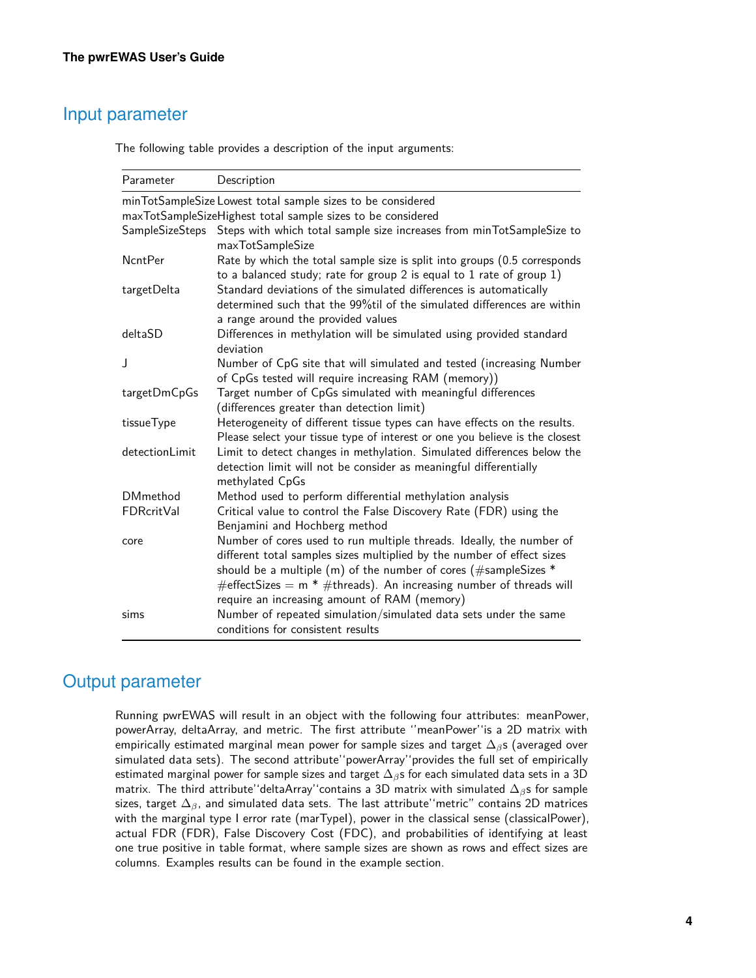### Input parameter

<span id="page-3-0"></span>The following table provides a description of the input arguments:

<span id="page-3-1"></span>

| Parameter                                                   | Description                                                                                                                                                                                                                                                                                                                                      |  |  |  |  |  |  |
|-------------------------------------------------------------|--------------------------------------------------------------------------------------------------------------------------------------------------------------------------------------------------------------------------------------------------------------------------------------------------------------------------------------------------|--|--|--|--|--|--|
| minTotSampleSize Lowest total sample sizes to be considered |                                                                                                                                                                                                                                                                                                                                                  |  |  |  |  |  |  |
| maxTotSampleSizeHighest total sample sizes to be considered |                                                                                                                                                                                                                                                                                                                                                  |  |  |  |  |  |  |
| SampleSizeSteps                                             | Steps with which total sample size increases from minTotSampleSize to<br>maxTotSampleSize                                                                                                                                                                                                                                                        |  |  |  |  |  |  |
| <b>NcntPer</b>                                              | Rate by which the total sample size is split into groups (0.5 corresponds<br>to a balanced study; rate for group 2 is equal to 1 rate of group $1$ )                                                                                                                                                                                             |  |  |  |  |  |  |
| targetDelta                                                 | Standard deviations of the simulated differences is automatically<br>determined such that the 99% til of the simulated differences are within<br>a range around the provided values                                                                                                                                                              |  |  |  |  |  |  |
| deltaSD                                                     | Differences in methylation will be simulated using provided standard<br>deviation                                                                                                                                                                                                                                                                |  |  |  |  |  |  |
| J                                                           | Number of CpG site that will simulated and tested (increasing Number<br>of CpGs tested will require increasing RAM (memory))                                                                                                                                                                                                                     |  |  |  |  |  |  |
| targetDmCpGs                                                | Target number of CpGs simulated with meaningful differences<br>(differences greater than detection limit)                                                                                                                                                                                                                                        |  |  |  |  |  |  |
| tissueType                                                  | Heterogeneity of different tissue types can have effects on the results.<br>Please select your tissue type of interest or one you believe is the closest                                                                                                                                                                                         |  |  |  |  |  |  |
| detectionLimit                                              | Limit to detect changes in methylation. Simulated differences below the<br>detection limit will not be consider as meaningful differentially<br>methylated CpGs                                                                                                                                                                                  |  |  |  |  |  |  |
| <b>DMmethod</b>                                             | Method used to perform differential methylation analysis                                                                                                                                                                                                                                                                                         |  |  |  |  |  |  |
| <b>FDRcritVal</b>                                           | Critical value to control the False Discovery Rate (FDR) using the<br>Benjamini and Hochberg method                                                                                                                                                                                                                                              |  |  |  |  |  |  |
| core                                                        | Number of cores used to run multiple threads. Ideally, the number of<br>different total samples sizes multiplied by the number of effect sizes<br>should be a multiple (m) of the number of cores ( $#$ sampleSizes $*$<br>#effectSizes = $m * #$ threads). An increasing number of threads will<br>require an increasing amount of RAM (memory) |  |  |  |  |  |  |
| sims                                                        | Number of repeated simulation/simulated data sets under the same<br>conditions for consistent results                                                                                                                                                                                                                                            |  |  |  |  |  |  |

### Output parameter

Running pwrEWAS will result in an object with the following four attributes: meanPower, powerArray, deltaArray, and metric. The first attribute ''meanPower''is a 2D matrix with empirically estimated marginal mean power for sample sizes and target ∆*β*s (averaged over simulated data sets). The second attribute''powerArray''provides the full set of empirically estimated marginal power for sample sizes and target ∆*β*s for each simulated data sets in a 3D matrix. The third attribute''deltaArray''contains a 3D matrix with simulated ∆*β*s for sample sizes, target ∆*β*, and simulated data sets. The last attribute''metric" contains 2D matrices with the marginal type I error rate (marTypeI), power in the classical sense (classicalPower), actual FDR (FDR), False Discovery Cost (FDC), and probabilities of identifying at least one true positive in table format, where sample sizes are shown as rows and effect sizes are columns. Examples results can be found in the example section.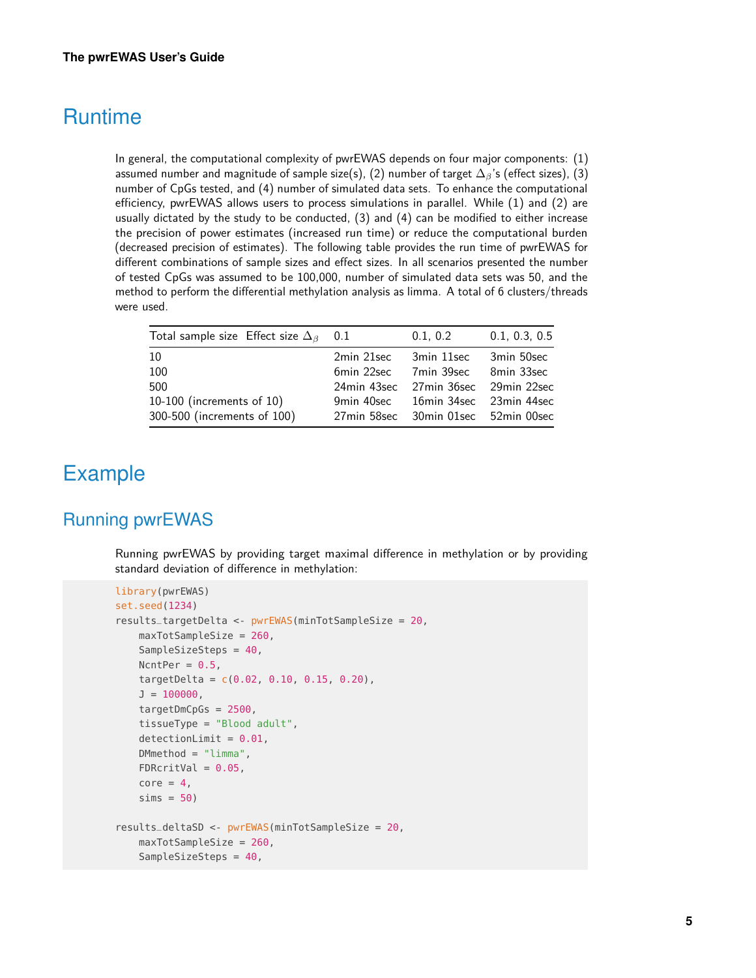## Runtime

In general, the computational complexity of pwrEWAS depends on four major components: (1) assumed number and magnitude of sample size(s), (2) number of target ∆*β*'s (effect sizes), (3) number of CpGs tested, and (4) number of simulated data sets. To enhance the computational efficiency, pwrEWAS allows users to process simulations in parallel. While (1) and (2) are usually dictated by the study to be conducted, (3) and (4) can be modified to either increase the precision of power estimates (increased run time) or reduce the computational burden (decreased precision of estimates). The following table provides the run time of pwrEWAS for different combinations of sample sizes and effect sizes. In all scenarios presented the number of tested CpGs was assumed to be 100,000, number of simulated data sets was 50, and the method to perform the differential methylation analysis as limma. A total of 6 clusters/threads were used.

<span id="page-4-0"></span>

| Total sample size Effect size $\Delta_{\beta}$ 0.1 | $0.1, 0.2$ 0.1, 0.3, 0.5            |  |
|----------------------------------------------------|-------------------------------------|--|
| 10                                                 | 2min 21sec 3min 11sec 3min 50sec    |  |
| 100                                                | 6min 22sec 7min 39sec 8min 33sec    |  |
| 500                                                | 24min 43sec 27min 36sec 29min 22sec |  |
| 10-100 (increments of 10)                          | 9min 40sec 16min 34sec 23min 44sec  |  |
| 300-500 (increments of 100)                        | 27min 58sec 30min 01sec 52min 00sec |  |

## Example

### Running pwrEWAS

<span id="page-4-1"></span>Running pwrEWAS by providing target maximal difference in methylation or by providing standard deviation of difference in methylation:

```
library(pwrEWAS)
set.seed(1234)
results_targetDelta <- pwrEWAS(minTotSampleSize = 20,
    maxTotSampleSize = 260,
    SampleSizeSteps = 40,
    NcntPer = 0.5,
    targetDelta = c(0.02, 0.10, 0.15, 0.20),
    J = 100000,targetDmCpGs = 2500,
    tissueType = "Blood adult",
    detectionLimit = 0.01,DMmethod = "limma",
    FDRcritVal = 0.05,
    core = 4,
    sims = 50results_deltaSD <- pwrEWAS(minTotSampleSize = 20,
    maxTotSampleSize = 260,
    SampleSizeSteps = 40,
```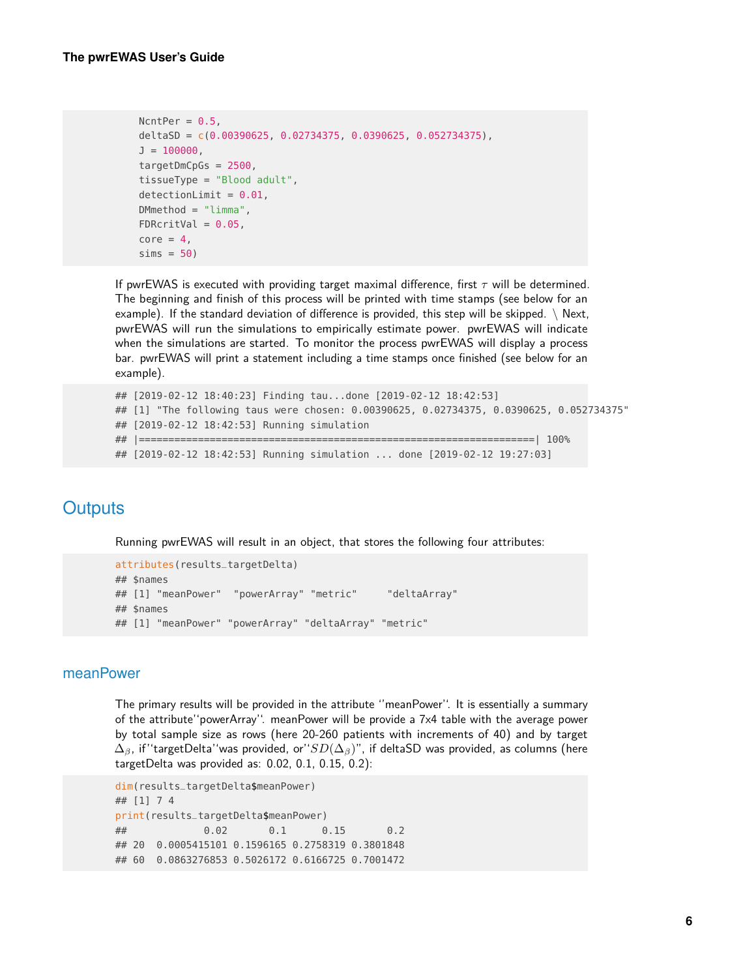```
NcntPer = 0.5,
deltaSD = c(0.00390625, 0.02734375, 0.0390625, 0.052734375),
J = 100000,
targetDmCpGs = 2500,
tissueType = "Blood adult",
detectionLimit = 0.01,
DMmethod = "limma",
FDRcritVal = 0.05,
core = 4,
sims = 50)
```
If pwrEWAS is executed with providing target maximal difference, first *τ* will be determined. The beginning and finish of this process will be printed with time stamps (see below for an example). If the standard deviation of difference is provided, this step will be skipped. \ Next, pwrEWAS will run the simulations to empirically estimate power. pwrEWAS will indicate when the simulations are started. To monitor the process pwrEWAS will display a process bar. pwrEWAS will print a statement including a time stamps once finished (see below for an example).

```
## [2019-02-12 18:40:23] Finding tau...done [2019-02-12 18:42:53]
## [1] "The following taus were chosen: 0.00390625, 0.02734375, 0.0390625, 0.052734375"
## [2019-02-12 18:42:53] Running simulation
## |===================================================================| 100%
## [2019-02-12 18:42:53] Running simulation ... done [2019-02-12 19:27:03]
```
### **Outputs**

Running pwrEWAS will result in an object, that stores the following four attributes:

```
attributes(results_targetDelta)
## $names
## [1] "meanPower" "powerArray" "metric" "deltaArray"
## $names
## [1] "meanPower" "powerArray" "deltaArray" "metric"
```
#### meanPower

The primary results will be provided in the attribute ''meanPower''. It is essentially a summary of the attribute''powerArray''. meanPower will be provide a 7x4 table with the average power by total sample size as rows (here 20-260 patients with increments of 40) and by target ∆*β*, if''targetDelta''was provided, or''*SD*(∆*β*)", if deltaSD was provided, as columns (here targetDelta was provided as: 0.02, 0.1, 0.15, 0.2):

```
dim(results_targetDelta$meanPower)
## [1] 7 4
print(results_targetDelta$meanPower)
## 0.02 0.1 0.15 0.2
## 20 0.0005415101 0.1596165 0.2758319 0.3801848
## 60 0.0863276853 0.5026172 0.6166725 0.7001472
```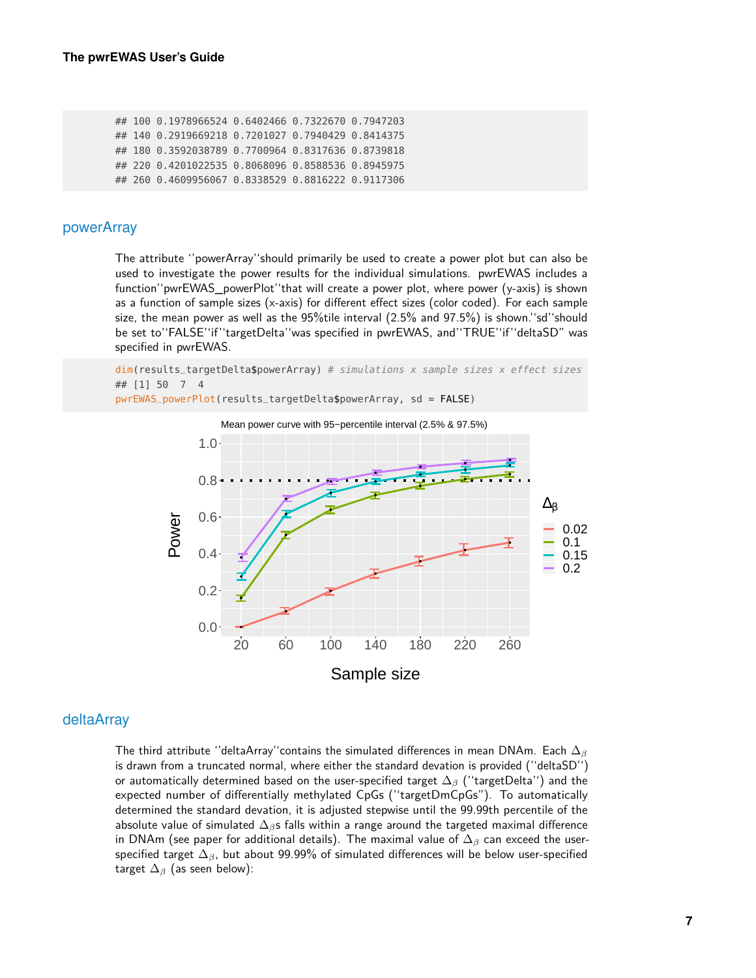## 100 0.1978966524 0.6402466 0.7322670 0.7947203 ## 140 0.2919669218 0.7201027 0.7940429 0.8414375 ## 180 0.3592038789 0.7700964 0.8317636 0.8739818 ## 220 0.4201022535 0.8068096 0.8588536 0.8945975 ## 260 0.4609956067 0.8338529 0.8816222 0.9117306

### **powerArray**

The attribute ''powerArray''should primarily be used to create a power plot but can also be used to investigate the power results for the individual simulations. pwrEWAS includes a function''pwrEWAS\_powerPlot''that will create a power plot, where power (y-axis) is shown as a function of sample sizes (x-axis) for different effect sizes (color coded). For each sample size, the mean power as well as the 95%tile interval (2.5% and 97.5%) is shown.''sd''should be set to''FALSE''if''targetDelta''was specified in pwrEWAS, and''TRUE''if''deltaSD" was specified in pwrEWAS.



Mean power curve with 95−percentile interval (2.5% & 97.5%)



#### deltaArray

The third attribute ''deltaArray''contains the simulated differences in mean DNAm. Each ∆*<sup>β</sup>* is drawn from a truncated normal, where either the standard devation is provided (''deltaSD'') or automatically determined based on the user-specified target ∆*<sup>β</sup>* (''targetDelta'') and the expected number of differentially methylated CpGs (''targetDmCpGs"). To automatically determined the standard devation, it is adjusted stepwise until the 99.99th percentile of the absolute value of simulated ∆*β*s falls within a range around the targeted maximal difference in DNAm (see paper for additional details). The maximal value of ∆*<sup>β</sup>* can exceed the userspecified target ∆*β*, but about 99.99% of simulated differences will be below user-specified target ∆*<sup>β</sup>* (as seen below):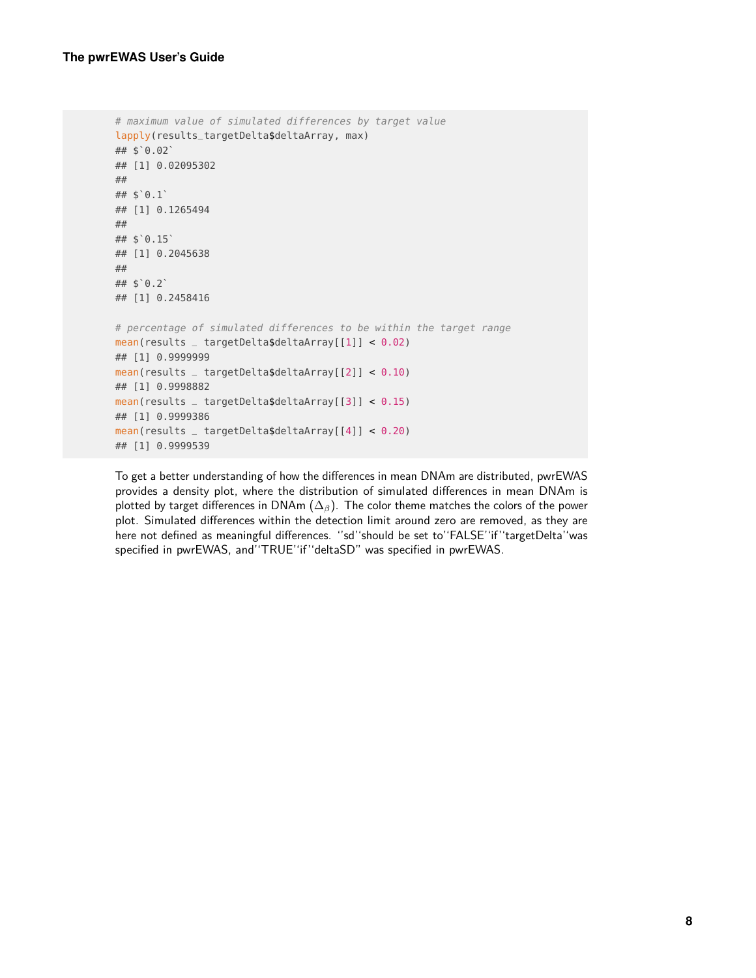```
# maximum value of simulated differences by target value
lapply(results_targetDelta$deltaArray, max)
## $`0.02`
## [1] 0.02095302
##
## $`0.1`
## [1] 0.1265494
##
## $`0.15`
## [1] 0.2045638
##
## $°0.2## [1] 0.2458416
# percentage of simulated differences to be within the target range
mean(results _ targetDelta$deltaArray[[1]] < 0.02)
## [1] 0.9999999
mean(results _ targetDelta$deltaArray[[2]] < 0.10)
## [1] 0.9998882
mean(results _ targetDelta$deltaArray[[3]] < 0.15)
## [1] 0.9999386
mean(results _ targetDelta$deltaArray[[4]] < 0.20)
## [1] 0.9999539
```
To get a better understanding of how the differences in mean DNAm are distributed, pwrEWAS provides a density plot, where the distribution of simulated differences in mean DNAm is plotted by target differences in DNAm (∆*β*). The color theme matches the colors of the power plot. Simulated differences within the detection limit around zero are removed, as they are here not defined as meaningful differences. ''sd''should be set to''FALSE''if''targetDelta''was specified in pwrEWAS, and''TRUE''if''deltaSD" was specified in pwrEWAS.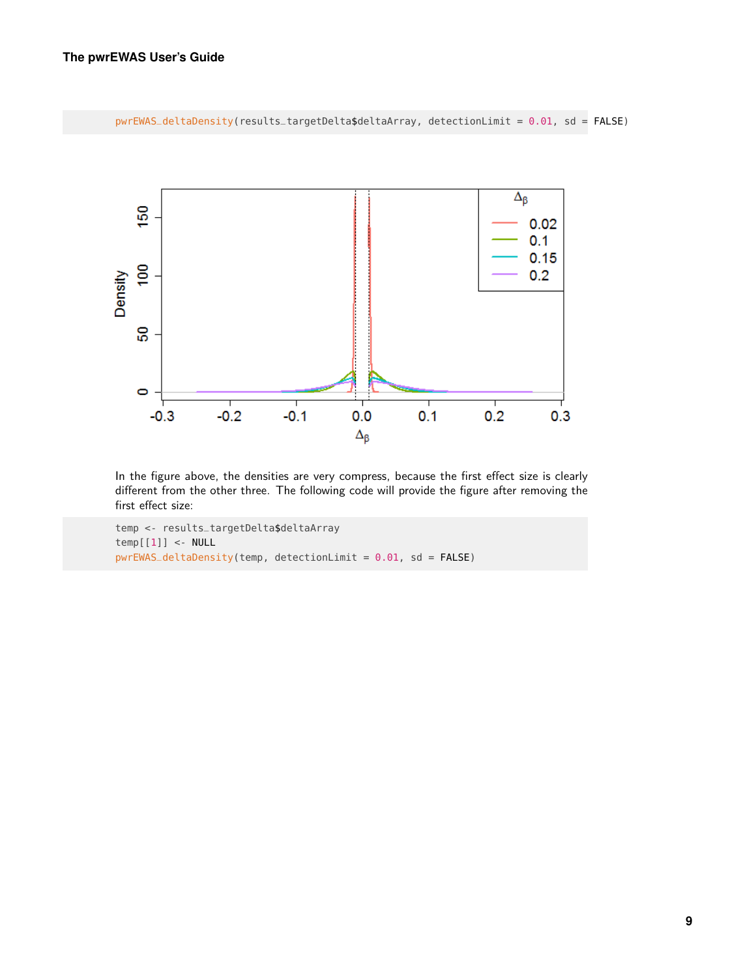

In the figure above, the densities are very compress, because the first effect size is clearly different from the other three. The following code will provide the figure after removing the first effect size:

temp <- results\_targetDelta\$deltaArray temp[[1]] <- NULL pwrEWAS\_deltaDensity(temp, detectionLimit = 0.01, sd = FALSE)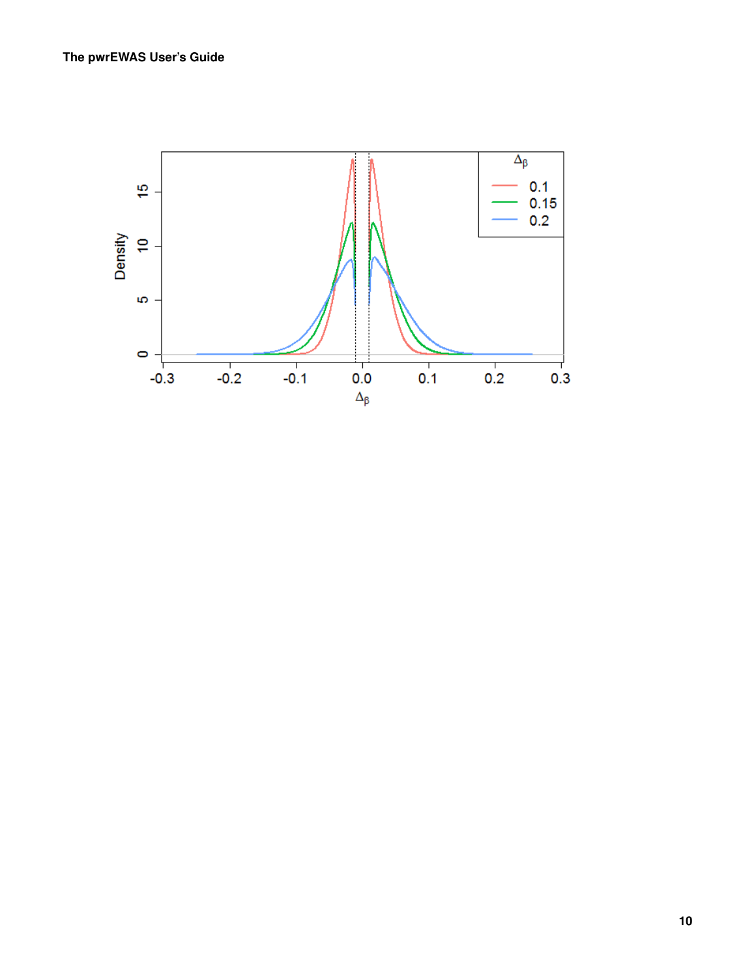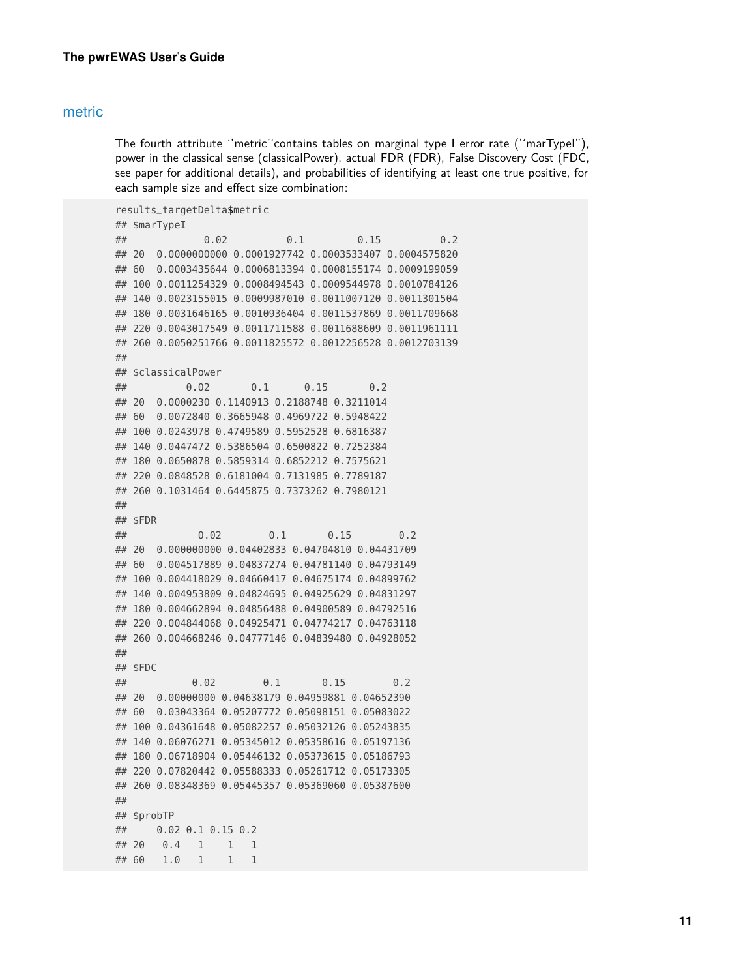#### metric

The fourth attribute ''metric''contains tables on marginal type I error rate (''marTypeI"), power in the classical sense (classicalPower), actual FDR (FDR), False Discovery Cost (FDC, see paper for additional details), and probabilities of identifying at least one true positive, for each sample size and effect size combination:

```
results_targetDelta$metric
## $marTypeI
## 0.02 0.1 0.15 0.2
## 20 0.0000000000 0.0001927742 0.0003533407 0.0004575820
## 60 0.0003435644 0.0006813394 0.0008155174 0.0009199059
## 100 0.0011254329 0.0008494543 0.0009544978 0.0010784126
## 140 0.0023155015 0.0009987010 0.0011007120 0.0011301504
## 180 0.0031646165 0.0010936404 0.0011537869 0.0011709668
## 220 0.0043017549 0.0011711588 0.0011688609 0.0011961111
## 260 0.0050251766 0.0011825572 0.0012256528 0.0012703139
##
## $classicalPower
## 0.02 0.1 0.15 0.2
## 20 0.0000230 0.1140913 0.2188748 0.3211014
## 60 0.0072840 0.3665948 0.4969722 0.5948422
## 100 0.0243978 0.4749589 0.5952528 0.6816387
## 140 0.0447472 0.5386504 0.6500822 0.7252384
## 180 0.0650878 0.5859314 0.6852212 0.7575621
## 220 0.0848528 0.6181004 0.7131985 0.7789187
## 260 0.1031464 0.6445875 0.7373262 0.7980121
##
## $FDR
## 0.02 0.1 0.15 0.2
## 20 0.000000000 0.04402833 0.04704810 0.04431709
## 60 0.004517889 0.04837274 0.04781140 0.04793149
## 100 0.004418029 0.04660417 0.04675174 0.04899762
## 140 0.004953809 0.04824695 0.04925629 0.04831297
## 180 0.004662894 0.04856488 0.04900589 0.04792516
## 220 0.004844068 0.04925471 0.04774217 0.04763118
## 260 0.004668246 0.04777146 0.04839480 0.04928052
##
## $FDC
## 0.02 0.1 0.15 0.2
## 20 0.00000000 0.04638179 0.04959881 0.04652390
## 60 0.03043364 0.05207772 0.05098151 0.05083022
## 100 0.04361648 0.05082257 0.05032126 0.05243835
## 140 0.06076271 0.05345012 0.05358616 0.05197136
## 180 0.06718904 0.05446132 0.05373615 0.05186793
## 220 0.07820442 0.05588333 0.05261712 0.05173305
## 260 0.08348369 0.05445357 0.05369060 0.05387600
##
## $probTP
## 0.02 0.1 0.15 0.2
## 20 0.4 1 1 1
## 60 1.0 1 1 1
```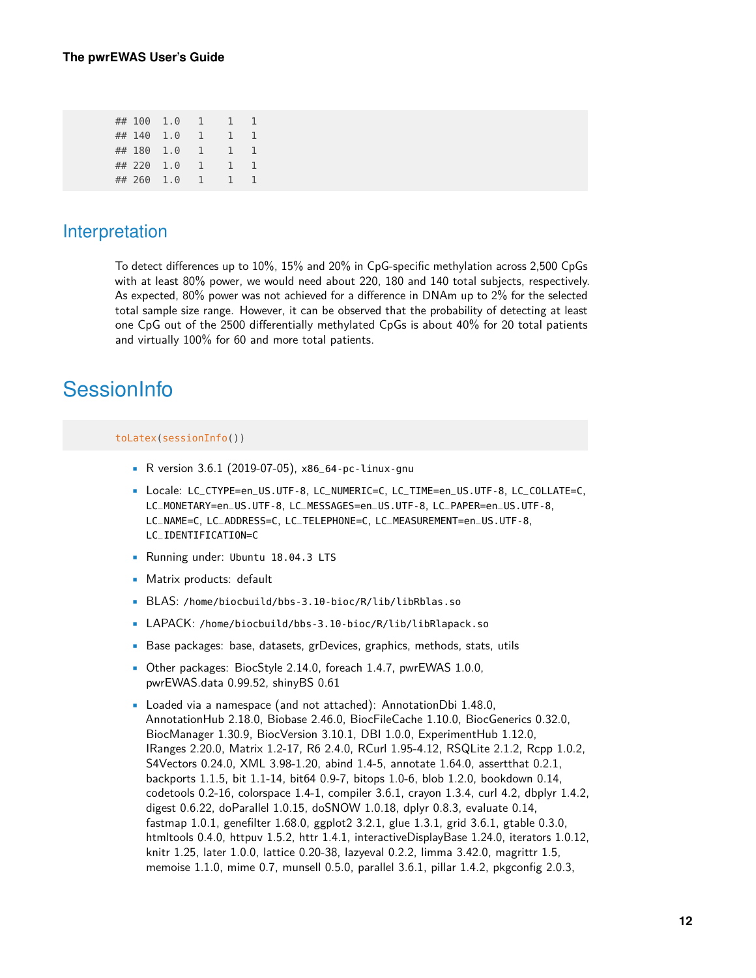|  | ## 100 1.0 | $\lceil$       | 1. |    |
|--|------------|----------------|----|----|
|  | ## 140 1.0 | $\mathbf{1}$   | 1. | 1. |
|  | ## 180 1.0 | $\overline{1}$ | Т. | 1. |
|  | ## 220 1.0 | -1             | 1. |    |
|  | ## 260 1.0 |                | 1. |    |

### Interpretation

To detect differences up to 10%, 15% and 20% in CpG-specific methylation across 2,500 CpGs with at least 80% power, we would need about 220, 180 and 140 total subjects, respectively. As expected, 80% power was not achieved for a difference in DNAm up to 2% for the selected total sample size range. However, it can be observed that the probability of detecting at least one CpG out of the 2500 differentially methylated CpGs is about 40% for 20 total patients and virtually 100% for 60 and more total patients.

## **SessionInfo**

#### toLatex(sessionInfo())

- R version 3.6.1 (2019-07-05), x86\_64-pc-linux-gnu
- Locale: LC\_CTYPE=en\_US.UTF-8, LC\_NUMERIC=C, LC\_TIME=en\_US.UTF-8, LC\_COLLATE=C, LC\_MONETARY=en\_US.UTF-8, LC\_MESSAGES=en\_US.UTF-8, LC\_PAPER=en\_US.UTF-8, LC\_NAME=C, LC\_ADDRESS=C, LC\_TELEPHONE=C, LC\_MEASUREMENT=en\_US.UTF-8, LC\_IDENTIFICATION=C
- Running under: Ubuntu 18.04.3 LTS
- Matrix products: default
- BLAS: /home/biocbuild/bbs-3.10-bioc/R/lib/libRblas.so
- LAPACK: /home/biocbuild/bbs-3.10-bioc/R/lib/libRlapack.so
- Base packages: base, datasets, grDevices, graphics, methods, stats, utils
- Other packages: BiocStyle 2.14.0, foreach 1.4.7, pwrEWAS 1.0.0, pwrEWAS.data 0.99.52, shinyBS 0.61
- Loaded via a namespace (and not attached): AnnotationDbi 1.48.0, AnnotationHub 2.18.0, Biobase 2.46.0, BiocFileCache 1.10.0, BiocGenerics 0.32.0, BiocManager 1.30.9, BiocVersion 3.10.1, DBI 1.0.0, ExperimentHub 1.12.0, IRanges 2.20.0, Matrix 1.2-17, R6 2.4.0, RCurl 1.95-4.12, RSQLite 2.1.2, Rcpp 1.0.2, S4Vectors 0.24.0, XML 3.98-1.20, abind 1.4-5, annotate 1.64.0, assertthat 0.2.1, backports 1.1.5, bit 1.1-14, bit64 0.9-7, bitops 1.0-6, blob 1.2.0, bookdown 0.14, codetools 0.2-16, colorspace 1.4-1, compiler 3.6.1, crayon 1.3.4, curl 4.2, dbplyr 1.4.2, digest 0.6.22, doParallel 1.0.15, doSNOW 1.0.18, dplyr 0.8.3, evaluate 0.14, fastmap 1.0.1, genefilter 1.68.0, ggplot2 3.2.1, glue 1.3.1, grid 3.6.1, gtable 0.3.0, htmltools 0.4.0, httpuv 1.5.2, httr 1.4.1, interactiveDisplayBase 1.24.0, iterators 1.0.12, knitr 1.25, later 1.0.0, lattice 0.20-38, lazyeval 0.2.2, limma 3.42.0, magrittr 1.5, memoise 1.1.0, mime 0.7, munsell 0.5.0, parallel 3.6.1, pillar 1.4.2, pkgconfig 2.0.3,